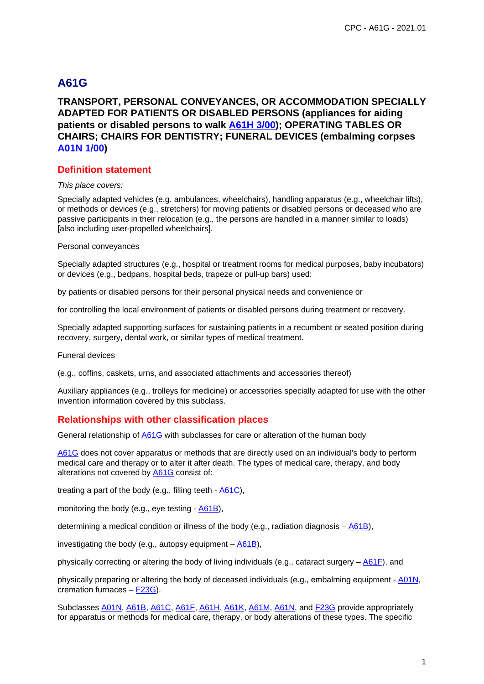# **A61G**

## **TRANSPORT, PERSONAL CONVEYANCES, OR ACCOMMODATION SPECIALLY ADAPTED FOR PATIENTS OR DISABLED PERSONS (appliances for aiding patients or disabled persons to walk A61H 3/00); OPERATING TABLES OR CHAIRS; CHAIRS FOR DENTISTRY; FUNERAL DEVICES (embalming corpses A01N 1/00)**

#### **Definition statement**

#### This place covers:

Specially adapted vehicles (e.g. ambulances, wheelchairs), handling apparatus (e.g., wheelchair lifts), or methods or devices (e.g., stretchers) for moving patients or disabled persons or deceased who are passive participants in their relocation (e.g., the persons are handled in a manner similar to loads) [also including user-propelled wheelchairs].

#### Personal conveyances

Specially adapted structures (e.g., hospital or treatment rooms for medical purposes, baby incubators) or devices (e.g., bedpans, hospital beds, trapeze or pull-up bars) used:

by patients or disabled persons for their personal physical needs and convenience or

for controlling the local environment of patients or disabled persons during treatment or recovery.

Specially adapted supporting surfaces for sustaining patients in a recumbent or seated position during recovery, surgery, dental work, or similar types of medical treatment.

Funeral devices

(e.g., coffins, caskets, urns, and associated attachments and accessories thereof)

Auxiliary appliances (e.g., trolleys for medicine) or accessories specially adapted for use with the other invention information covered by this subclass.

## **Relationships with other classification places**

General relationship of A61G with subclasses for care or alteration of the human body

A61G does not cover apparatus or methods that are directly used on an individual's body to perform medical care and therapy or to alter it after death. The types of medical care, therapy, and body alterations not covered by A61G consist of:

treating a part of the body (e.g., filling teeth  $\underline{A61C}$ ),

monitoring the body (e.g., eye testing - A61B),

determining a medical condition or illness of the body (e.g., radiation diagnosis – A61B),

investigating the body (e.g., autopsy equipment  $-\underline{A61B}$ ),

physically correcting or altering the body of living individuals (e.g., cataract surgery – A61F), and

physically preparing or altering the body of deceased individuals (e.g., embalming equipment - A01N, cremation furnaces – F23G).

Subclasses A01N, A61B, A61C, A61F, A61H, A61K, A61M, A61N, and F23G provide appropriately for apparatus or methods for medical care, therapy, or body alterations of these types. The specific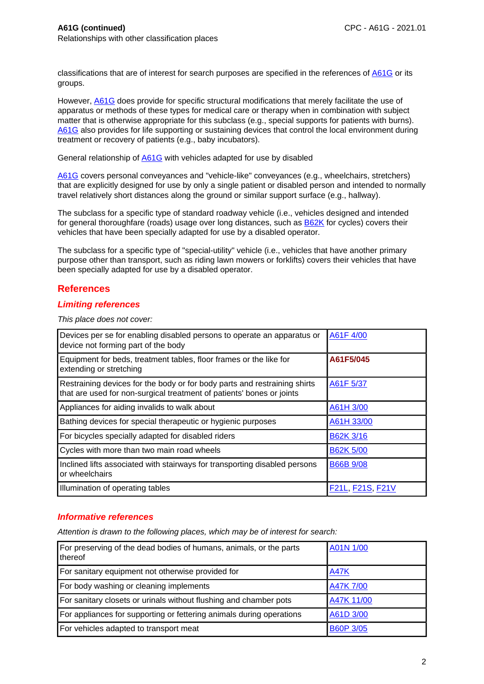classifications that are of interest for search purposes are specified in the references of A61G or its groups.

However, A61G does provide for specific structural modifications that merely facilitate the use of apparatus or methods of these types for medical care or therapy when in combination with subject matter that is otherwise appropriate for this subclass (e.g., special supports for patients with burns). A61G also provides for life supporting or sustaining devices that control the local environment during treatment or recovery of patients (e.g., baby incubators).

General relationship of A61G with vehicles adapted for use by disabled

A61G covers personal conveyances and "vehicle-like" conveyances (e.g., wheelchairs, stretchers) that are explicitly designed for use by only a single patient or disabled person and intended to normally travel relatively short distances along the ground or similar support surface (e.g., hallway).

The subclass for a specific type of standard roadway vehicle (i.e., vehicles designed and intended for general thoroughfare (roads) usage over long distances, such as B62K for cycles) covers their vehicles that have been specially adapted for use by a disabled operator.

The subclass for a specific type of "special-utility" vehicle (i.e., vehicles that have another primary purpose other than transport, such as riding lawn mowers or forklifts) covers their vehicles that have been specially adapted for use by a disabled operator.

### **References**

### **Limiting references**

This place does not cover:

| Devices per se for enabling disabled persons to operate an apparatus or<br>device not forming part of the body                                     | A61F 4/00               |
|----------------------------------------------------------------------------------------------------------------------------------------------------|-------------------------|
| Equipment for beds, treatment tables, floor frames or the like for<br>extending or stretching                                                      | A61F5/045               |
| Restraining devices for the body or for body parts and restraining shirts<br>that are used for non-surgical treatment of patients' bones or joints | A61F 5/37               |
| Appliances for aiding invalids to walk about                                                                                                       | A61H 3/00               |
| Bathing devices for special therapeutic or hygienic purposes                                                                                       | A61H 33/00              |
| For bicycles specially adapted for disabled riders                                                                                                 | B62K 3/16               |
| Cycles with more than two main road wheels                                                                                                         | <b>B62K 5/00</b>        |
| Inclined lifts associated with stairways for transporting disabled persons<br>or wheelchairs                                                       | <b>B66B 9/08</b>        |
| Illumination of operating tables                                                                                                                   | <b>F21L, F21S, F21V</b> |

### **Informative references**

| For preserving of the dead bodies of humans, animals, or the parts<br>thereof | A01N 1/00        |
|-------------------------------------------------------------------------------|------------------|
| For sanitary equipment not otherwise provided for                             | <b>A47K</b>      |
| For body washing or cleaning implements                                       | <b>A47K 7/00</b> |
| For sanitary closets or urinals without flushing and chamber pots             | A47K 11/00       |
| For appliances for supporting or fettering animals during operations          | A61D 3/00        |
| For vehicles adapted to transport meat                                        | <b>B60P 3/05</b> |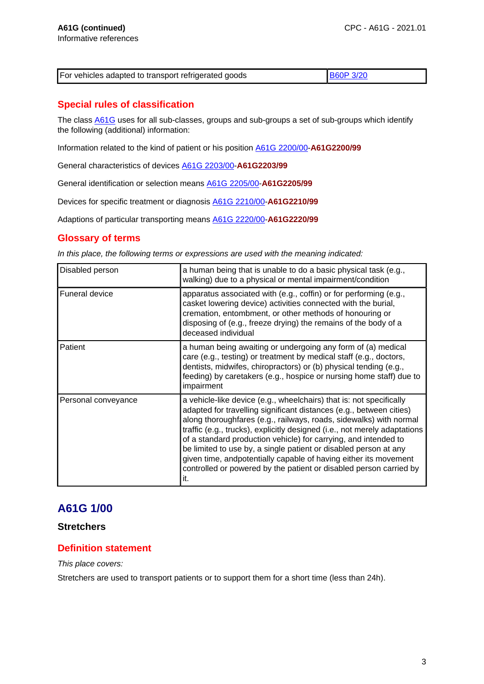| For vehicles adapted to transport refrigerated goods |  |
|------------------------------------------------------|--|
|------------------------------------------------------|--|

# **Special rules of classification**

The class A61G uses for all sub-classes, groups and sub-groups a set of sub-groups which identify the following (additional) information:

Information related to the kind of patient or his position A61G 2200/00-**A61G2200/99**

General characteristics of devices A61G 2203/00-**A61G2203/99**

General identification or selection means A61G 2205/00-**A61G2205/99**

Devices for specific treatment or diagnosis A61G 2210/00-**A61G2210/99**

Adaptions of particular transporting means A61G 2220/00-**A61G2220/99**

### **Glossary of terms**

In this place, the following terms or expressions are used with the meaning indicated:

| Disabled person     | a human being that is unable to do a basic physical task (e.g.,<br>walking) due to a physical or mental impairment/condition                                                                                                                                                                                                                                                                                                                                                                                                                                                          |
|---------------------|---------------------------------------------------------------------------------------------------------------------------------------------------------------------------------------------------------------------------------------------------------------------------------------------------------------------------------------------------------------------------------------------------------------------------------------------------------------------------------------------------------------------------------------------------------------------------------------|
| Funeral device      | apparatus associated with (e.g., coffin) or for performing (e.g.,<br>casket lowering device) activities connected with the burial,<br>cremation, entombment, or other methods of honouring or<br>disposing of (e.g., freeze drying) the remains of the body of a<br>deceased individual                                                                                                                                                                                                                                                                                               |
| Patient             | a human being awaiting or undergoing any form of (a) medical<br>care (e.g., testing) or treatment by medical staff (e.g., doctors,<br>dentists, midwifes, chiropractors) or (b) physical tending (e.g.,<br>feeding) by caretakers (e.g., hospice or nursing home staff) due to<br>impairment                                                                                                                                                                                                                                                                                          |
| Personal conveyance | a vehicle-like device (e.g., wheelchairs) that is: not specifically<br>adapted for travelling significant distances (e.g., between cities)<br>along thoroughfares (e.g., railways, roads, sidewalks) with normal<br>traffic (e.g., trucks), explicitly designed (i.e., not merely adaptations<br>of a standard production vehicle) for carrying, and intended to<br>be limited to use by, a single patient or disabled person at any<br>given time, andpotentially capable of having either its movement<br>controlled or powered by the patient or disabled person carried by<br>it. |

# **A61G 1/00**

### **Stretchers**

## **Definition statement**

This place covers:

Stretchers are used to transport patients or to support them for a short time (less than 24h).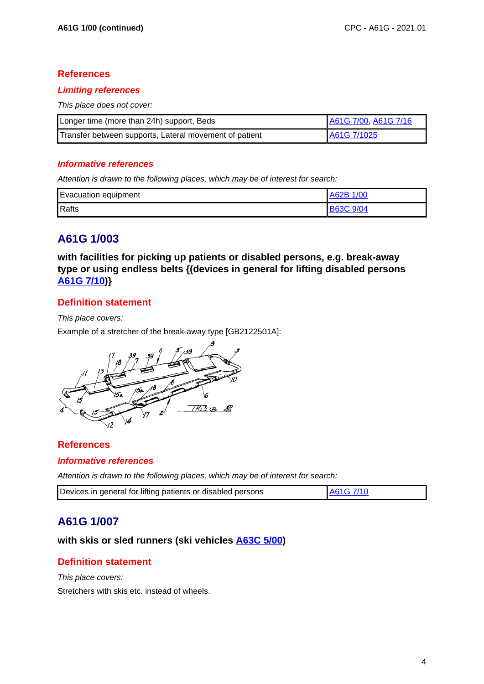## **References**

### **Limiting references**

This place does not cover:

| Longer time (more than 24h) support, Beds              | A61G 7/00, A61G 7/16 |
|--------------------------------------------------------|----------------------|
| Transfer between supports, Lateral movement of patient | A61G 7/1025          |

### **Informative references**

Attention is drawn to the following places, which may be of interest for search:

| <b>Evacuation equipment</b> | A62B 1/00 |
|-----------------------------|-----------|
| Rafts                       | B63C 9/04 |

# **A61G 1/003**

**with facilities for picking up patients or disabled persons, e.g. break-away type or using endless belts {(devices in general for lifting disabled persons A61G 7/10)}**

# **Definition statement**

This place covers:

Example of a stretcher of the break-away type [GB2122501A]:



## **References**

### **Informative references**

Attention is drawn to the following places, which may be of interest for search:

| Devices in general for lifting patients or disabled persons | A61G 7/10 |
|-------------------------------------------------------------|-----------|

# **A61G 1/007**

# **with skis or sled runners (ski vehicles A63C 5/00)**

# **Definition statement**

This place covers: Stretchers with skis etc. instead of wheels.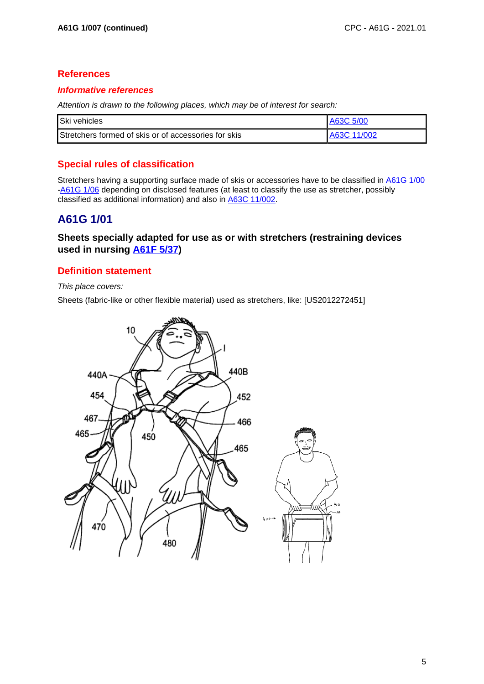## **References**

### **Informative references**

Attention is drawn to the following places, which may be of interest for search:

| Ski vehicles                                         | A63C 5/00   |
|------------------------------------------------------|-------------|
| Stretchers formed of skis or of accessories for skis | A63C 11/002 |

# **Special rules of classification**

Stretchers having a supporting surface made of skis or accessories have to be classified in A61G 1/00 -A61G 1/06 depending on disclosed features (at least to classify the use as stretcher, possibly classified as additional information) and also in A63C 11/002.

# **A61G 1/01**

## **Sheets specially adapted for use as or with stretchers (restraining devices used in nursing A61F 5/37)**

## **Definition statement**

This place covers:

Sheets (fabric-like or other flexible material) used as stretchers, like: [US2012272451]

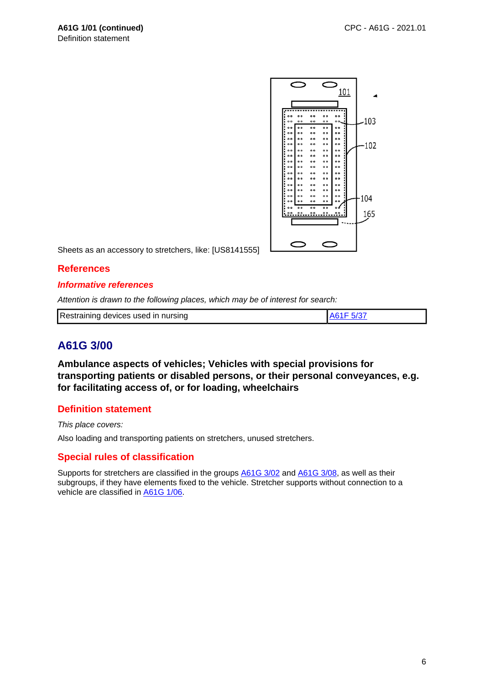

Sheets as an accessory to stretchers, like: [US8141555]

### **References**

#### **Informative references**

Attention is drawn to the following places, which may be of interest for search:

| Restraining devices used in nursing | A61F 5/37 |
|-------------------------------------|-----------|
|                                     |           |

# **A61G 3/00**

**Ambulance aspects of vehicles; Vehicles with special provisions for transporting patients or disabled persons, or their personal conveyances, e.g. for facilitating access of, or for loading, wheelchairs**

### **Definition statement**

This place covers:

Also loading and transporting patients on stretchers, unused stretchers.

## **Special rules of classification**

Supports for stretchers are classified in the groups  $\underline{\mathsf{A61G}}\,3/\underline{\mathsf{02}}$  and  $\underline{\mathsf{A61G}}\,3/\underline{\mathsf{08}}$ , as well as their subgroups, if they have elements fixed to the vehicle. Stretcher supports without connection to a vehicle are classified in A61G 1/06.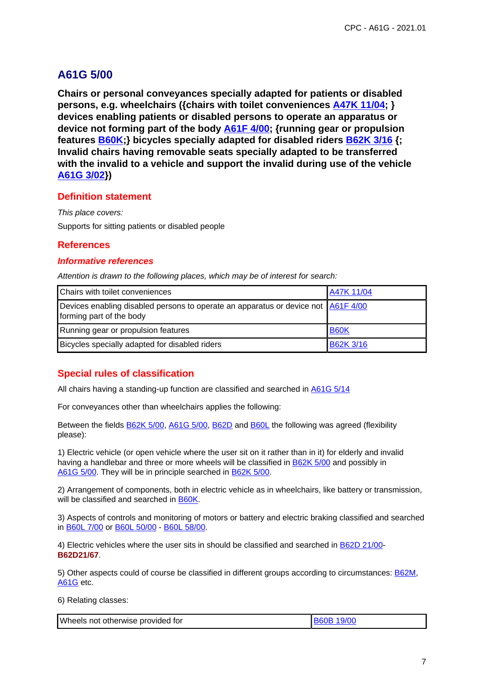# **A61G 5/00**

**Chairs or personal conveyances specially adapted for patients or disabled persons, e.g. wheelchairs ({chairs with toilet conveniences A47K 11/04; } devices enabling patients or disabled persons to operate an apparatus or device not forming part of the body A61F 4/00; {running gear or propulsion features B60K;} bicycles specially adapted for disabled riders B62K 3/16 {; Invalid chairs having removable seats specially adapted to be transferred with the invalid to a vehicle and support the invalid during use of the vehicle A61G 3/02})**

### **Definition statement**

This place covers: Supports for sitting patients or disabled people

## **References**

### **Informative references**

Attention is drawn to the following places, which may be of interest for search:

| Chairs with toilet conveniences                                                                               | A47K 11/04       |
|---------------------------------------------------------------------------------------------------------------|------------------|
| Devices enabling disabled persons to operate an apparatus or device not A61F 4/00<br>forming part of the body |                  |
| Running gear or propulsion features                                                                           | <b>B60K</b>      |
| Bicycles specially adapted for disabled riders                                                                | <b>B62K 3/16</b> |

# **Special rules of classification**

All chairs having a standing-up function are classified and searched in **A61G 5/14** 

For conveyances other than wheelchairs applies the following:

Between the fields B62K 5/00, A61G 5/00, B62D and B60L the following was agreed (flexibility please):

1) Electric vehicle (or open vehicle where the user sit on it rather than in it) for elderly and invalid having a handlebar and three or more wheels will be classified in B62K 5/00 and possibly in A61G 5/00. They will be in principle searched in B62K 5/00.

2) Arrangement of components, both in electric vehicle as in wheelchairs, like battery or transmission, will be classified and searched in B60K.

3) Aspects of controls and monitoring of motors or battery and electric braking classified and searched in B60L 7/00 or B60L 50/00 - B60L 58/00.

4) Electric vehicles where the user sits in should be classified and searched in B62D 21/00- **B62D21/67**.

5) Other aspects could of course be classified in different groups according to circumstances: **B62M**, A61G etc.

6) Relating classes:

| Wheels not otherwise provided for | <b>B60B 19/00</b> |
|-----------------------------------|-------------------|
|                                   |                   |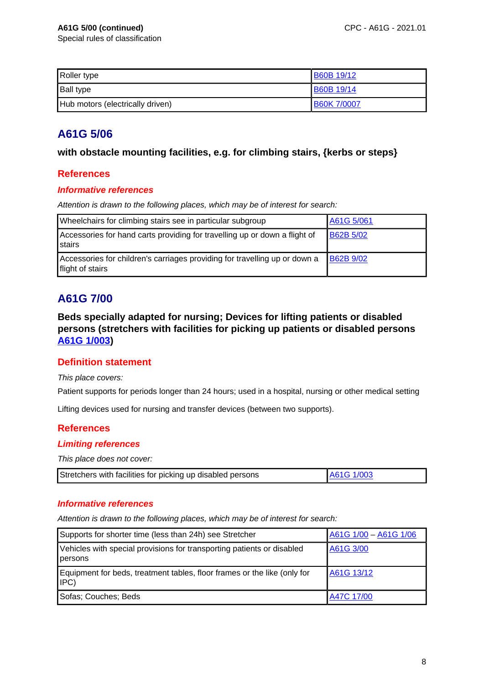| Roller type                      | <b>B60B 19/12</b>  |
|----------------------------------|--------------------|
| <b>Ball type</b>                 | <b>B60B 19/14</b>  |
| Hub motors (electrically driven) | <b>B60K 7/0007</b> |

# **A61G 5/06**

## **with obstacle mounting facilities, e.g. for climbing stairs, {kerbs or steps}**

## **References**

### **Informative references**

Attention is drawn to the following places, which may be of interest for search:

| Wheelchairs for climbing stairs see in particular subgroup                                     | A61G 5/061       |
|------------------------------------------------------------------------------------------------|------------------|
| Accessories for hand carts providing for travelling up or down a flight of<br>stairs           | <b>B62B 5/02</b> |
| Accessories for children's carriages providing for travelling up or down a<br>flight of stairs | <b>B62B 9/02</b> |

# **A61G 7/00**

**Beds specially adapted for nursing; Devices for lifting patients or disabled persons (stretchers with facilities for picking up patients or disabled persons A61G 1/003)**

# **Definition statement**

### This place covers:

Patient supports for periods longer than 24 hours; used in a hospital, nursing or other medical setting

Lifting devices used for nursing and transfer devices (between two supports).

## **References**

### **Limiting references**

This place does not cover:

|  | Stretchers with facilities for picking up disabled persons |  |
|--|------------------------------------------------------------|--|
|--|------------------------------------------------------------|--|

### **Informative references**

| Supports for shorter time (less than 24h) see Stretcher                           | A61G 1/00 - A61G 1/06 |
|-----------------------------------------------------------------------------------|-----------------------|
| Vehicles with special provisions for transporting patients or disabled<br>persons | A61G 3/00             |
| Equipment for beds, treatment tables, floor frames or the like (only for<br>IPC)  | A61G 13/12            |
| Sofas; Couches; Beds                                                              | A47C 17/00            |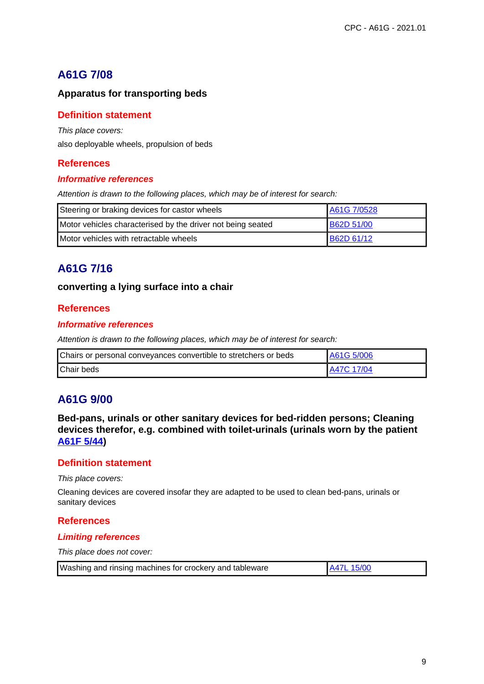# **A61G 7/08**

# **Apparatus for transporting beds**

## **Definition statement**

This place covers:

also deployable wheels, propulsion of beds

# **References**

### **Informative references**

Attention is drawn to the following places, which may be of interest for search:

| Steering or braking devices for castor wheels               | A61G 7/0528       |
|-------------------------------------------------------------|-------------------|
| Motor vehicles characterised by the driver not being seated | <b>B62D 51/00</b> |
| Motor vehicles with retractable wheels                      | <b>B62D 61/12</b> |

# **A61G 7/16**

### **converting a lying surface into a chair**

## **References**

### **Informative references**

Attention is drawn to the following places, which may be of interest for search:

| Chairs or personal conveyances convertible to stretchers or beds | LA61G 5/006        |
|------------------------------------------------------------------|--------------------|
| <b>Chair beds</b>                                                | <b>LA47C 17/04</b> |

# **A61G 9/00**

**Bed-pans, urinals or other sanitary devices for bed-ridden persons; Cleaning devices therefor, e.g. combined with toilet-urinals (urinals worn by the patient A61F 5/44)**

### **Definition statement**

This place covers:

Cleaning devices are covered insofar they are adapted to be used to clean bed-pans, urinals or sanitary devices

### **References**

### **Limiting references**

This place does not cover:

| Washing and rinsing machines for crockery and tableware | A47L 15/00 |
|---------------------------------------------------------|------------|
|---------------------------------------------------------|------------|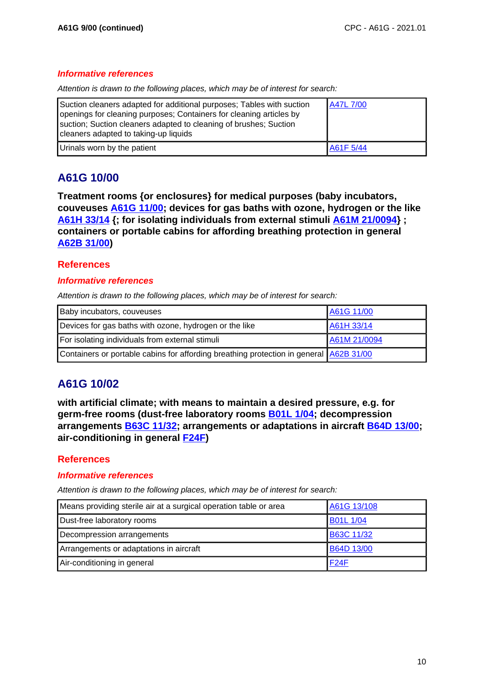### **Informative references**

Attention is drawn to the following places, which may be of interest for search:

| Suction cleaners adapted for additional purposes; Tables with suction<br>openings for cleaning purposes; Containers for cleaning articles by<br>suction; Suction cleaners adapted to cleaning of brushes; Suction<br>cleaners adapted to taking-up liquids | A47L 7/00 |
|------------------------------------------------------------------------------------------------------------------------------------------------------------------------------------------------------------------------------------------------------------|-----------|
| Urinals worn by the patient                                                                                                                                                                                                                                | A61F 5/44 |

# **A61G 10/00**

**Treatment rooms {or enclosures} for medical purposes (baby incubators, couveuses A61G 11/00; devices for gas baths with ozone, hydrogen or the like A61H 33/14 {; for isolating individuals from external stimuli A61M 21/0094} ; containers or portable cabins for affording breathing protection in general A62B 31/00)**

## **References**

### **Informative references**

Attention is drawn to the following places, which may be of interest for search:

| Baby incubators, couveuses                                                             | A61G 11/00   |
|----------------------------------------------------------------------------------------|--------------|
| Devices for gas baths with ozone, hydrogen or the like                                 | A61H 33/14   |
| For isolating individuals from external stimuli                                        | A61M 21/0094 |
| Containers or portable cabins for affording breathing protection in general A62B 31/00 |              |

# **A61G 10/02**

**with artificial climate; with means to maintain a desired pressure, e.g. for germ-free rooms (dust-free laboratory rooms B01L 1/04; decompression arrangements B63C 11/32; arrangements or adaptations in aircraft B64D 13/00; air-conditioning in general F24F)**

## **References**

### **Informative references**

| Means providing sterile air at a surgical operation table or area | A61G 13/108       |
|-------------------------------------------------------------------|-------------------|
| Dust-free laboratory rooms                                        | <b>B01L 1/04</b>  |
| Decompression arrangements                                        | B63C 11/32        |
| Arrangements or adaptations in aircraft                           | <b>B64D 13/00</b> |
| Air-conditioning in general                                       | <b>F24F</b>       |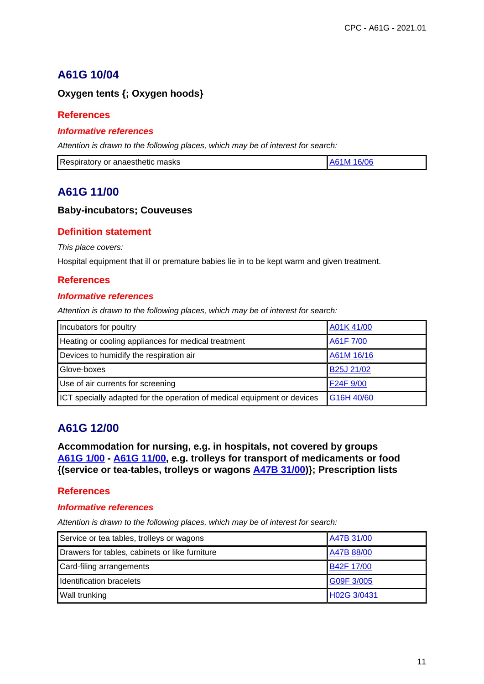# **A61G 10/04**

# **Oxygen tents {; Oxygen hoods}**

## **References**

### **Informative references**

Attention is drawn to the following places, which may be of interest for search:

| Respiratory or anaesthetic masks | A61M 16/06 |
|----------------------------------|------------|
|                                  |            |

# **A61G 11/00**

### **Baby-incubators; Couveuses**

## **Definition statement**

This place covers:

Hospital equipment that ill or premature babies lie in to be kept warm and given treatment.

## **References**

### **Informative references**

Attention is drawn to the following places, which may be of interest for search:

| Incubators for poultry                                                  | A01K 41/00              |
|-------------------------------------------------------------------------|-------------------------|
| Heating or cooling appliances for medical treatment                     | A61F 7/00               |
| Devices to humidify the respiration air                                 | A61M 16/16              |
| Glove-boxes                                                             | B <sub>25</sub> J 21/02 |
| Use of air currents for screening                                       | F24F 9/00               |
| ICT specially adapted for the operation of medical equipment or devices | G16H 40/60              |

# **A61G 12/00**

**Accommodation for nursing, e.g. in hospitals, not covered by groups A61G 1/00 - A61G 11/00, e.g. trolleys for transport of medicaments or food {(service or tea-tables, trolleys or wagons A47B 31/00)}; Prescription lists**

## **References**

### **Informative references**

| Service or tea tables, trolleys or wagons      | A47B 31/00        |
|------------------------------------------------|-------------------|
| Drawers for tables, cabinets or like furniture | A47B 88/00        |
| Card-filing arrangements                       | <b>B42F 17/00</b> |
| Identification bracelets                       | G09F 3/005        |
| Wall trunking                                  | H02G 3/0431       |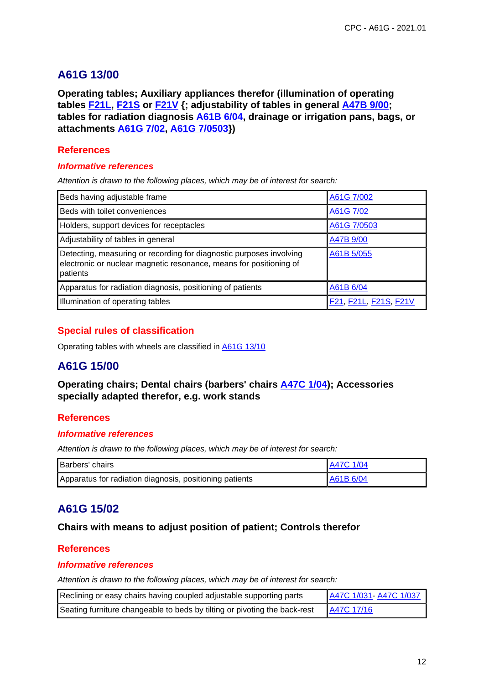# **A61G 13/00**

**Operating tables; Auxiliary appliances therefor (illumination of operating tables F21L, F21S or F21V {; adjustability of tables in general A47B 9/00; tables for radiation diagnosis A61B 6/04, drainage or irrigation pans, bags, or attachments A61G 7/02, A61G 7/0503})**

## **References**

### **Informative references**

Attention is drawn to the following places, which may be of interest for search:

| Beds having adjustable frame                                                                                                                          | A61G 7/002            |
|-------------------------------------------------------------------------------------------------------------------------------------------------------|-----------------------|
| Beds with toilet conveniences                                                                                                                         | A61G 7/02             |
| Holders, support devices for receptacles                                                                                                              | A61G 7/0503           |
| Adjustability of tables in general                                                                                                                    | A47B 9/00             |
| Detecting, measuring or recording for diagnostic purposes involving<br>electronic or nuclear magnetic resonance, means for positioning of<br>patients | A61B 5/055            |
| Apparatus for radiation diagnosis, positioning of patients                                                                                            | A61B 6/04             |
| Illumination of operating tables                                                                                                                      | F21, F21L, F21S, F21V |

# **Special rules of classification**

Operating tables with wheels are classified in A61G 13/10

# **A61G 15/00**

## **Operating chairs; Dental chairs (barbers' chairs A47C 1/04); Accessories specially adapted therefor, e.g. work stands**

## **References**

### **Informative references**

Attention is drawn to the following places, which may be of interest for search:

| <b>Barbers'</b> chairs                                  | <b>A47C 1/04</b> |
|---------------------------------------------------------|------------------|
| Apparatus for radiation diagnosis, positioning patients | A61B 6/04        |

# **A61G 15/02**

## **Chairs with means to adjust position of patient; Controls therefor**

## **References**

### **Informative references**

| Reclining or easy chairs having coupled adjustable supporting parts       | A47C 1/031-A47C 1/037 |
|---------------------------------------------------------------------------|-----------------------|
| Seating furniture changeable to beds by tilting or pivoting the back-rest | A47C 17/16            |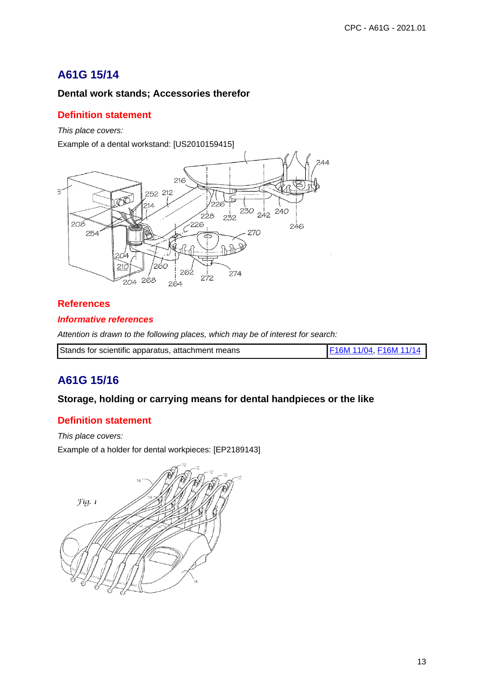# **A61G 15/14**

# **Dental work stands; Accessories therefor**

## **Definition statement**

This place covers:

Example of a dental workstand: [US2010159415]



## **References**

## **Informative references**

Attention is drawn to the following places, which may be of interest for search:

| Stands for scientific apparatus, attachment means | F16M 11/04, F16M 11/14 |
|---------------------------------------------------|------------------------|
|                                                   |                        |

# **A61G 15/16**

## **Storage, holding or carrying means for dental handpieces or the like**

# **Definition statement**

This place covers:

Example of a holder for dental workpieces: [EP2189143]

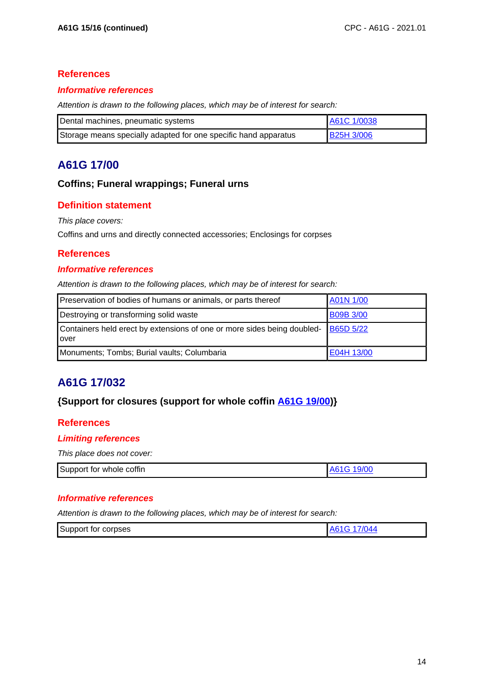## **References**

### **Informative references**

Attention is drawn to the following places, which may be of interest for search:

| Dental machines, pneumatic systems                              | A61C 1/0038       |
|-----------------------------------------------------------------|-------------------|
| Storage means specially adapted for one specific hand apparatus | <b>B25H 3/006</b> |

# **A61G 17/00**

## **Coffins; Funeral wrappings; Funeral urns**

# **Definition statement**

This place covers:

Coffins and urns and directly connected accessories; Enclosings for corpses

## **References**

### **Informative references**

Attention is drawn to the following places, which may be of interest for search:

| Preservation of bodies of humans or animals, or parts thereof                            | A01N 1/00        |
|------------------------------------------------------------------------------------------|------------------|
| Destroying or transforming solid waste                                                   | <b>B09B 3/00</b> |
| Containers held erect by extensions of one or more sides being doubled-<br><b>l</b> over | <b>B65D 5/22</b> |
| Monuments; Tombs; Burial vaults; Columbaria                                              | E04H 13/00       |

# **A61G 17/032**

# **{Support for closures (support for whole coffin A61G 19/00)}**

## **References**

## **Limiting references**

This place does not cover:

| Support<br>≞coffin<br>tor whole | . י |
|---------------------------------|-----|
|---------------------------------|-----|

### **Informative references**

| 7/044<br>Support for corpses |
|------------------------------|
|------------------------------|